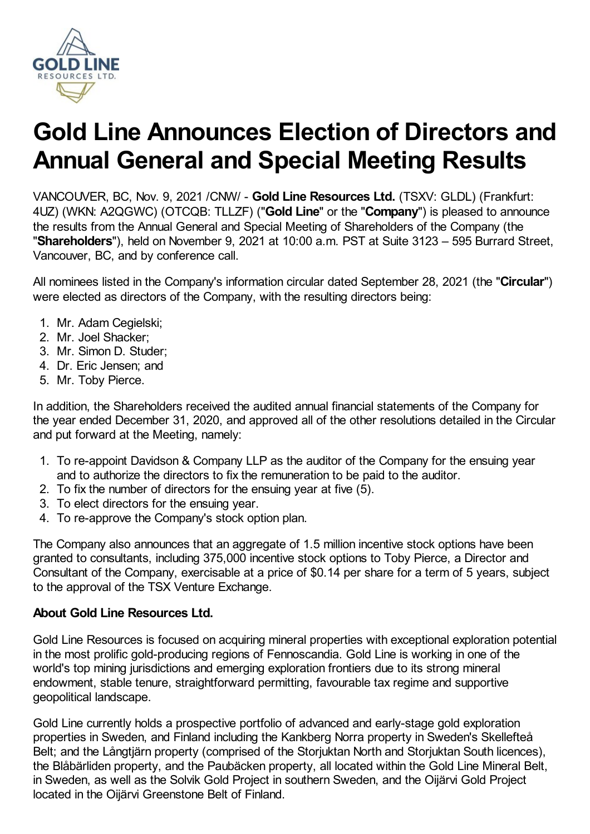

# **Gold Line Announces Election of Directors and Annual General and Special Meeting Results**

VANCOUVER, BC, Nov. 9, 2021 /CNW/ - **Gold Line Resources Ltd.** (TSXV: GLDL) (Frankfurt: 4UZ) (WKN: A2QGWC) (OTCQB: TLLZF) ("**Gold Line**" or the "**Company**") is pleased to announce the results from the Annual General and Special Meeting of Shareholders of the Company (the "**Shareholders**"), held on November 9, 2021 at 10:00 a.m. PST at Suite 3123 – 595 Burrard Street, Vancouver, BC, and by conference call.

All nominees listed in the Company's information circular dated September 28, 2021 (the "**Circular**") were elected as directors of the Company, with the resulting directors being:

- 1. Mr. Adam Cegielski;
- 2. Mr. Joel Shacker;
- 3. Mr. Simon D. Studer;
- 4. Dr. Eric Jensen; and
- 5. Mr. Toby Pierce.

In addition, the Shareholders received the audited annual financial statements of the Company for the year ended December 31, 2020, and approved all of the other resolutions detailed in the Circular and put forward at the Meeting, namely:

- 1. To re-appoint Davidson & Company LLP as the auditor of the Company for the ensuing year and to authorize the directors to fix the remuneration to be paid to the auditor.
- 2. To fix the number of directors for the ensuing year at five (5).
- 3. To elect directors for the ensuing year.
- 4. To re-approve the Company's stock option plan.

The Company also announces that an aggregate of 1.5 million incentive stock options have been granted to consultants, including 375,000 incentive stock options to Toby Pierce, a Director and Consultant of the Company, exercisable at a price of \$0.14 per share for a term of 5 years, subject to the approval of the TSX Venture Exchange.

## **About Gold Line Resources Ltd.**

Gold Line Resources is focused on acquiring mineral properties with exceptional exploration potential in the most prolific gold-producing regions of Fennoscandia. Gold Line is working in one of the world's top mining jurisdictions and emerging exploration frontiers due to its strong mineral endowment, stable tenure, straightforward permitting, favourable tax regime and supportive geopolitical landscape.

Gold Line currently holds a prospective portfolio of advanced and early-stage gold exploration properties in Sweden, and Finland including the Kankberg Norra property in Sweden's Skellefteå Belt; and the Långtjärn property (comprised of the Storjuktan North and Storjuktan South licences), the Blåbärliden property, and the Paubäcken property, all located within the Gold Line Mineral Belt, in Sweden, as well as the Solvik Gold Project in southern Sweden, and the Oijärvi Gold Project located in the Oijärvi Greenstone Belt of Finland.